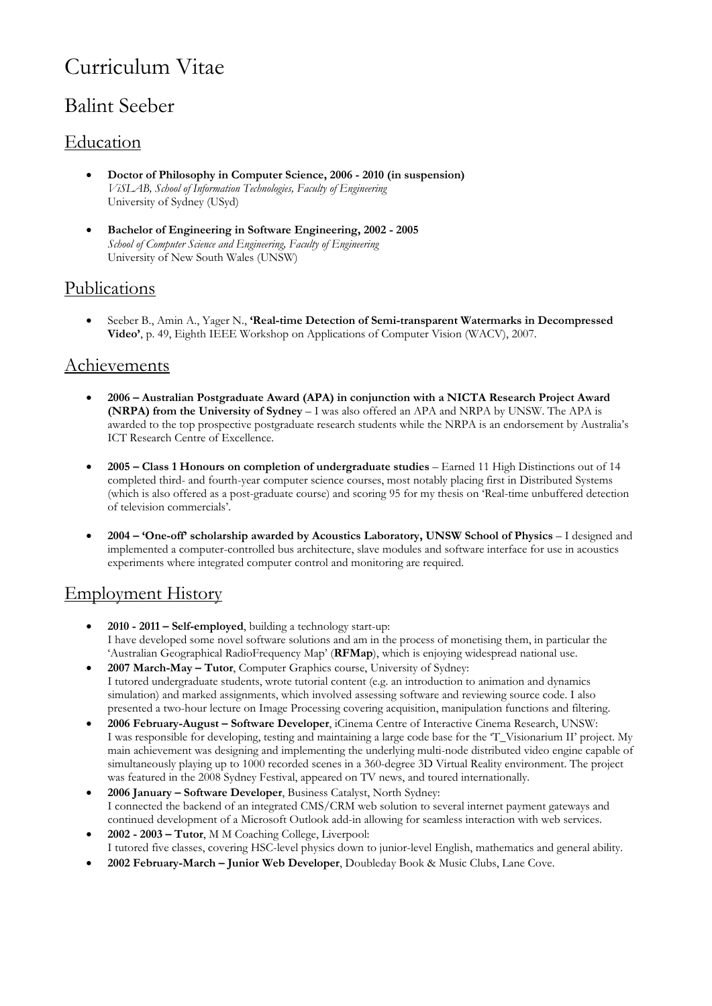# Curriculum Vitae

# Balint Seeber

# Education

- **Doctor of Philosophy in Computer Science, 2006 2010 (in suspension)**  *ViSLAB, School of Information Technologies, Faculty of Engineering*  University of Sydney (USyd)
- **Bachelor of Engineering in Software Engineering, 2002 2005**  *School of Computer Science and Engineering, Faculty of Engineering* University of New South Wales (UNSW)

# Publications

• Seeber B., Amin A., Yager N., **'Real-time Detection of Semi-transparent Watermarks in Decompressed Video'**, p. 49, Eighth IEEE Workshop on Applications of Computer Vision (WACV), 2007.

### **Achievements**

- **2006 Australian Postgraduate Award (APA) in conjunction with a NICTA Research Project Award (NRPA) from the University of Sydney** – I was also offered an APA and NRPA by UNSW. The APA is awarded to the top prospective postgraduate research students while the NRPA is an endorsement by Australia's ICT Research Centre of Excellence.
- **2005 Class 1 Honours on completion of undergraduate studies** Earned 11 High Distinctions out of 14 completed third- and fourth-year computer science courses, most notably placing first in Distributed Systems (which is also offered as a post-graduate course) and scoring 95 for my thesis on 'Real-time unbuffered detection of television commercials'.
- **2004 'One-off' scholarship awarded by Acoustics Laboratory, UNSW School of Physics** I designed and implemented a computer-controlled bus architecture, slave modules and software interface for use in acoustics experiments where integrated computer control and monitoring are required.

# Employment History

- **2010 2011 Self-employed**, building a technology start-up: I have developed some novel software solutions and am in the process of monetising them, in particular the 'Australian Geographical RadioFrequency Map' (**RFMap**), which is enjoying widespread national use.
- **2007 March-May Tutor**, Computer Graphics course, University of Sydney: I tutored undergraduate students, wrote tutorial content (e.g. an introduction to animation and dynamics simulation) and marked assignments, which involved assessing software and reviewing source code. I also presented a two-hour lecture on Image Processing covering acquisition, manipulation functions and filtering.
- **2006 February-August Software Developer**, iCinema Centre of Interactive Cinema Research, UNSW: I was responsible for developing, testing and maintaining a large code base for the 'T\_Visionarium II' project. My main achievement was designing and implementing the underlying multi-node distributed video engine capable of simultaneously playing up to 1000 recorded scenes in a 360-degree 3D Virtual Reality environment. The project was featured in the 2008 Sydney Festival, appeared on TV news, and toured internationally.
- **2006 January Software Developer**, Business Catalyst, North Sydney: I connected the backend of an integrated CMS/CRM web solution to several internet payment gateways and continued development of a Microsoft Outlook add-in allowing for seamless interaction with web services.
- **2002 2003 Tutor**, M M Coaching College, Liverpool: I tutored five classes, covering HSC-level physics down to junior-level English, mathematics and general ability.
- **2002 February-March Junior Web Developer**, Doubleday Book & Music Clubs, Lane Cove.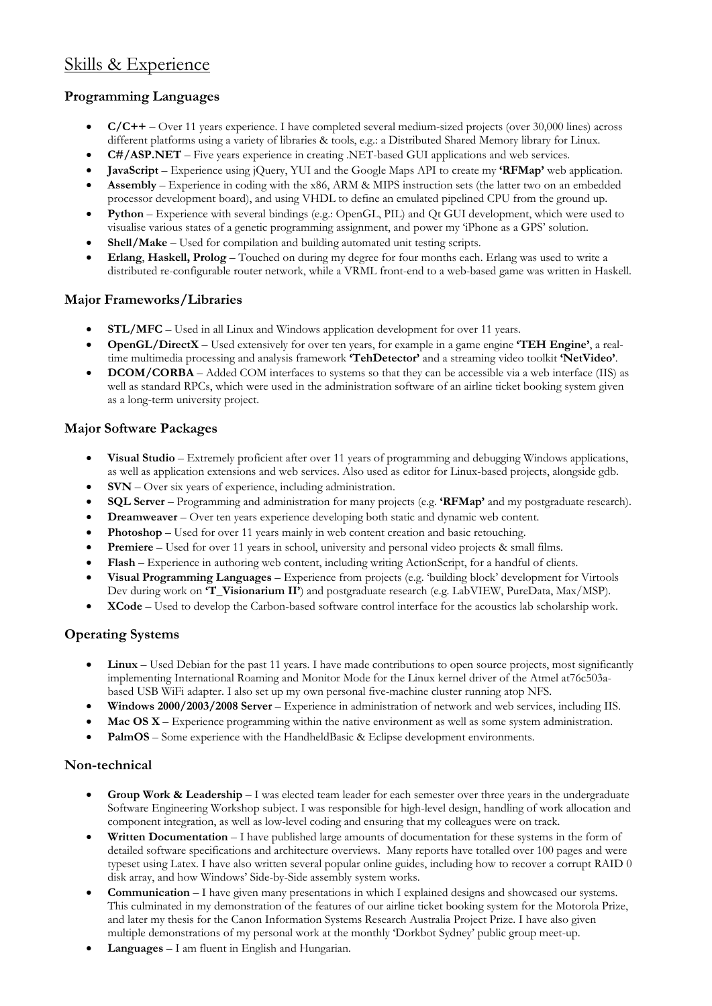# Skills & Experience

#### **Programming Languages**

- **C/C++** Over 11 years experience. I have completed several medium-sized projects (over 30,000 lines) across different platforms using a variety of libraries & tools, e.g.: a Distributed Shared Memory library for Linux.
- **C#/ASP.NET** Five years experience in creating .NET-based GUI applications and web services.
- **JavaScript** Experience using jQuery, YUI and the Google Maps API to create my **'RFMap'** web application.
- **Assembly** Experience in coding with the x86, ARM & MIPS instruction sets (the latter two on an embedded processor development board), and using VHDL to define an emulated pipelined CPU from the ground up.
- **Python** Experience with several bindings (e.g.: OpenGL, PIL) and Qt GUI development, which were used to visualise various states of a genetic programming assignment, and power my 'iPhone as a GPS' solution.
- **Shell/Make** Used for compilation and building automated unit testing scripts.
- **Erlang**, **Haskell, Prolog** Touched on during my degree for four months each. Erlang was used to write a distributed re-configurable router network, while a VRML front-end to a web-based game was written in Haskell.

#### **Major Frameworks/Libraries**

- **STL/MFC** Used in all Linux and Windows application development for over 11 years.
- **OpenGL/DirectX** Used extensively for over ten years, for example in a game engine **'TEH Engine'**, a realtime multimedia processing and analysis framework **'TehDetector'** and a streaming video toolkit **'NetVideo'**.
- **DCOM/CORBA** Added COM interfaces to systems so that they can be accessible via a web interface (IIS) as well as standard RPCs, which were used in the administration software of an airline ticket booking system given as a long-term university project.

#### **Major Software Packages**

- **Visual Studio** Extremely proficient after over 11 years of programming and debugging Windows applications, as well as application extensions and web services. Also used as editor for Linux-based projects, alongside gdb.
- **SVN** Over six years of experience, including administration.
- **SQL Server** Programming and administration for many projects (e.g. **'RFMap'** and my postgraduate research).
- **Dreamweaver** Over ten years experience developing both static and dynamic web content.
- **Photoshop** Used for over 11 years mainly in web content creation and basic retouching.
- **Premiere** Used for over 11 years in school, university and personal video projects & small films.
- **Flash**  Experience in authoring web content, including writing ActionScript, for a handful of clients.
- **Visual Programming Languages**  Experience from projects (e.g. 'building block' development for Virtools Dev during work on **'T\_Visionarium II'**) and postgraduate research (e.g. LabVIEW, PureData, Max/MSP).
- **XCode** Used to develop the Carbon-based software control interface for the acoustics lab scholarship work.

#### **Operating Systems**

- **Linux** Used Debian for the past 11 years. I have made contributions to open source projects, most significantly implementing International Roaming and Monitor Mode for the Linux kernel driver of the Atmel at76c503abased USB WiFi adapter. I also set up my own personal five-machine cluster running atop NFS.
- **Windows 2000/2003/2008 Server** Experience in administration of network and web services, including IIS.
- **Mac OS X** Experience programming within the native environment as well as some system administration.
- PalmOS Some experience with the HandheldBasic & Eclipse development environments.

#### **Non-technical**

- **Group Work & Leadership** I was elected team leader for each semester over three years in the undergraduate Software Engineering Workshop subject. I was responsible for high-level design, handling of work allocation and component integration, as well as low-level coding and ensuring that my colleagues were on track.
- **Written Documentation** I have published large amounts of documentation for these systems in the form of detailed software specifications and architecture overviews. Many reports have totalled over 100 pages and were typeset using Latex. I have also written several popular online guides, including how to recover a corrupt RAID 0 disk array, and how Windows' Side-by-Side assembly system works.
- **Communication** I have given many presentations in which I explained designs and showcased our systems. This culminated in my demonstration of the features of our airline ticket booking system for the Motorola Prize, and later my thesis for the Canon Information Systems Research Australia Project Prize. I have also given multiple demonstrations of my personal work at the monthly 'Dorkbot Sydney' public group meet-up.
- **Languages** I am fluent in English and Hungarian.